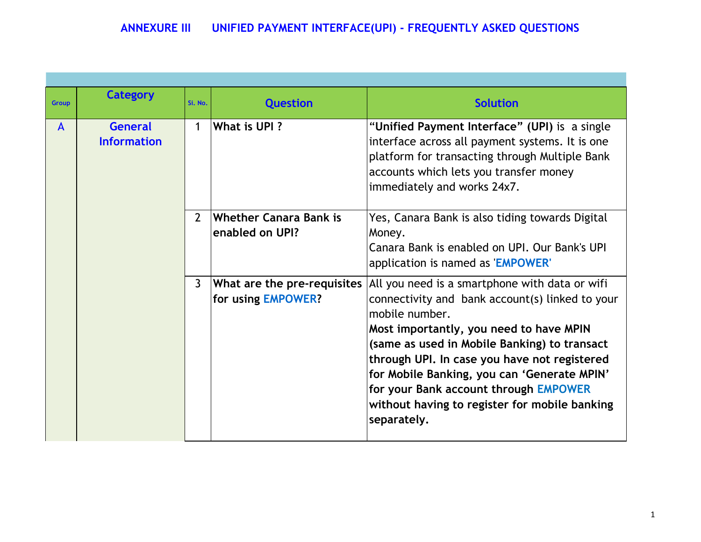| <b>Group</b> | <b>Category</b>                      | Si. No.        | <b>Question</b>                                   | <b>Solution</b>                                                                                                                                                                                                                                                                                                                                                                                                        |
|--------------|--------------------------------------|----------------|---------------------------------------------------|------------------------------------------------------------------------------------------------------------------------------------------------------------------------------------------------------------------------------------------------------------------------------------------------------------------------------------------------------------------------------------------------------------------------|
| $\mathsf{A}$ | <b>General</b><br><b>Information</b> | 1              | What is UPI?                                      | "Unified Payment Interface" (UPI) is a single<br>interface across all payment systems. It is one<br>platform for transacting through Multiple Bank<br>accounts which lets you transfer money<br>immediately and works 24x7.                                                                                                                                                                                            |
|              |                                      | $\overline{2}$ | <b>Whether Canara Bank is</b><br>enabled on UPI?  | Yes, Canara Bank is also tiding towards Digital<br>Money.<br>Canara Bank is enabled on UPI. Our Bank's UPI<br>application is named as 'EMPOWER'                                                                                                                                                                                                                                                                        |
|              |                                      | $\overline{3}$ | What are the pre-requisites<br>for using EMPOWER? | All you need is a smartphone with data or wifi<br>connectivity and bank account(s) linked to your<br>mobile number.<br>Most importantly, you need to have MPIN<br>(same as used in Mobile Banking) to transact<br>through UPI. In case you have not registered<br>for Mobile Banking, you can 'Generate MPIN'<br>for your Bank account through EMPOWER<br>without having to register for mobile banking<br>separately. |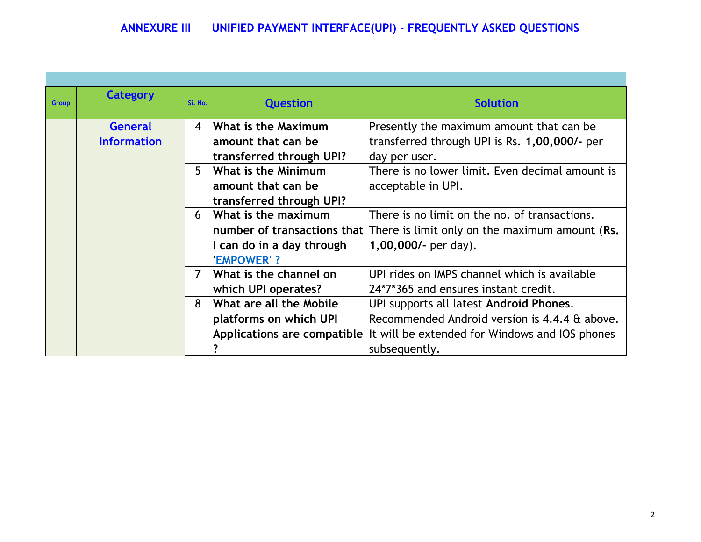| <b>Group</b> | <b>Category</b>    | Si. No.          | <b>Question</b>           | <b>Solution</b>                                                              |
|--------------|--------------------|------------------|---------------------------|------------------------------------------------------------------------------|
|              | <b>General</b>     | $\boldsymbol{A}$ | What is the Maximum       | Presently the maximum amount that can be.                                    |
|              | <b>Information</b> |                  | amount that can be        | transferred through UPI is Rs. 1,00,000/- per                                |
|              |                    |                  | transferred through UPI?  | day per user.                                                                |
|              |                    | 5                | What is the Minimum       | There is no lower limit. Even decimal amount is                              |
|              |                    |                  | amount that can be        | acceptable in UPI.                                                           |
|              |                    |                  | transferred through UPI?  |                                                                              |
|              |                    | 6                | What is the maximum       | There is no limit on the no. of transactions.                                |
|              |                    |                  |                           | number of transactions that There is limit only on the maximum amount (Rs.   |
|              |                    |                  | I can do in a day through | 1,00,000/- per day).                                                         |
|              |                    |                  | <b>EMPOWER'?</b>          |                                                                              |
|              |                    | $\overline{7}$   | What is the channel on    | UPI rides on IMPS channel which is available                                 |
|              |                    |                  | which UPI operates?       | 24*7*365 and ensures instant credit.                                         |
|              |                    | 8                | What are all the Mobile   | UPI supports all latest Android Phones.                                      |
|              |                    |                  | platforms on which UPI    | Recommended Android version is 4.4.4 & above.                                |
|              |                    |                  |                           | Applications are compatible   It will be extended for Windows and IOS phones |
|              |                    |                  |                           | subsequently.                                                                |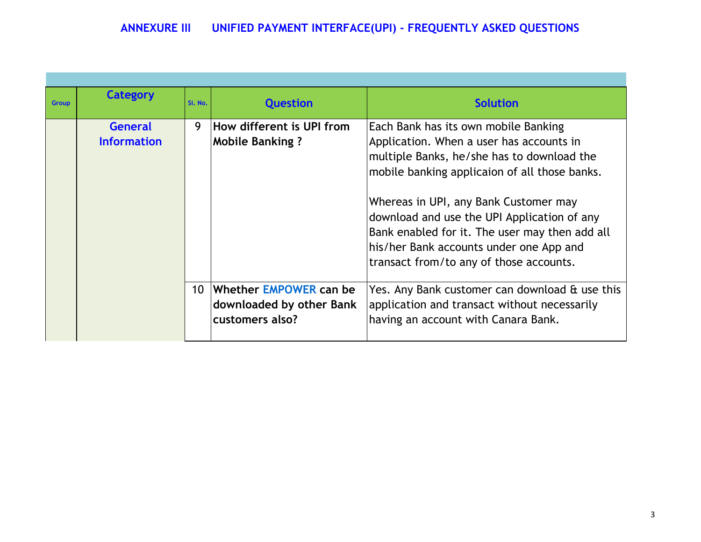| <b>Group</b> | <b>Category</b>                      | Si. No.         | <b>Question</b>                                                       | <b>Solution</b>                                                                                                                                                                                                                                                                                                                                                                                                 |
|--------------|--------------------------------------|-----------------|-----------------------------------------------------------------------|-----------------------------------------------------------------------------------------------------------------------------------------------------------------------------------------------------------------------------------------------------------------------------------------------------------------------------------------------------------------------------------------------------------------|
|              | <b>General</b><br><b>Information</b> | 9               | How different is UPI from<br><b>Mobile Banking?</b>                   | Each Bank has its own mobile Banking<br>Application. When a user has accounts in<br>multiple Banks, he/she has to download the<br>mobile banking applicaion of all those banks.<br>Whereas in UPI, any Bank Customer may<br>download and use the UPI Application of any<br>Bank enabled for it. The user may then add all<br>his/her Bank accounts under one App and<br>transact from/to any of those accounts. |
|              |                                      | 10 <sup>°</sup> | Whether EMPOWER can be<br>downloaded by other Bank<br>customers also? | Yes. Any Bank customer can download & use this<br>application and transact without necessarily<br>having an account with Canara Bank.                                                                                                                                                                                                                                                                           |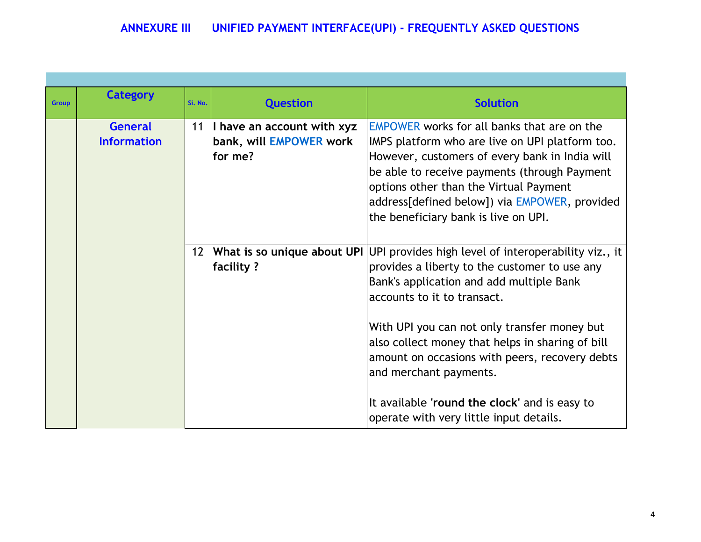| <b>Group</b> | <b>Category</b>                      | Si. No.         | <b>Question</b>                                                  | <b>Solution</b>                                                                                                                                                                                                                                                                                                                                                                                                                                              |
|--------------|--------------------------------------|-----------------|------------------------------------------------------------------|--------------------------------------------------------------------------------------------------------------------------------------------------------------------------------------------------------------------------------------------------------------------------------------------------------------------------------------------------------------------------------------------------------------------------------------------------------------|
|              | <b>General</b><br><b>Information</b> | 11              | I have an account with xyz<br>bank, will EMPOWER work<br>for me? | <b>EMPOWER</b> works for all banks that are on the<br>IMPS platform who are live on UPI platform too.<br>However, customers of every bank in India will<br>be able to receive payments (through Payment<br>options other than the Virtual Payment<br>address[defined below]) via EMPOWER, provided<br>the beneficiary bank is live on UPI.                                                                                                                   |
|              |                                      | 12 <sup>2</sup> | What is so unique about UPI<br>facility?                         | UPI provides high level of interoperability viz., it<br>provides a liberty to the customer to use any<br>Bank's application and add multiple Bank<br>accounts to it to transact.<br>With UPI you can not only transfer money but<br>also collect money that helps in sharing of bill<br>amount on occasions with peers, recovery debts<br>and merchant payments.<br>It available 'round the clock' and is easy to<br>operate with very little input details. |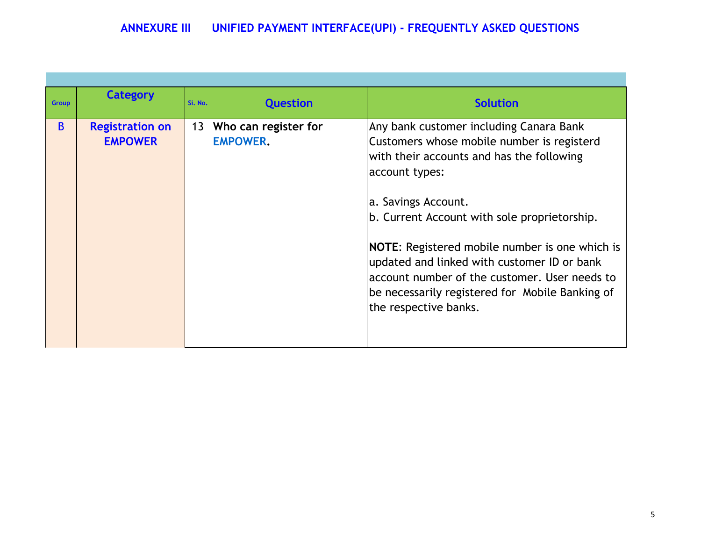|              | Category                                 |         |                                              |                                                                                                                                                                                                                                                                                                                                                                                                                                                           |
|--------------|------------------------------------------|---------|----------------------------------------------|-----------------------------------------------------------------------------------------------------------------------------------------------------------------------------------------------------------------------------------------------------------------------------------------------------------------------------------------------------------------------------------------------------------------------------------------------------------|
| <b>Group</b> |                                          | Si. No. | <b>Question</b>                              | <b>Solution</b>                                                                                                                                                                                                                                                                                                                                                                                                                                           |
| B.           | <b>Registration on</b><br><b>EMPOWER</b> |         | 13   Who can register for<br><b>EMPOWER.</b> | Any bank customer including Canara Bank<br>Customers whose mobile number is registerd<br>with their accounts and has the following<br>account types:<br>a. Savings Account.<br>b. Current Account with sole proprietorship.<br>NOTE: Registered mobile number is one which is<br>updated and linked with customer ID or bank<br>account number of the customer. User needs to<br>be necessarily registered for Mobile Banking of<br>the respective banks. |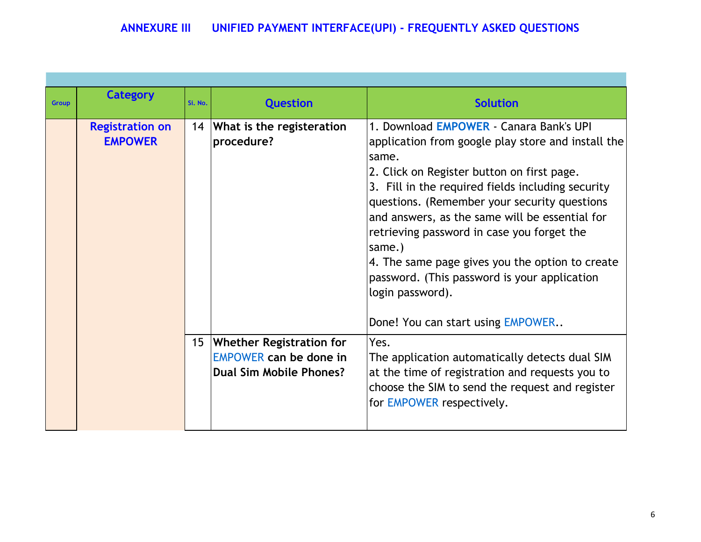| <b>Group</b> | <b>Category</b>                          | Si. No. | <b>Question</b>                                                                         | <b>Solution</b>                                                                                                                                                                                                                                                                                                                                                                                                                                                                                                                 |
|--------------|------------------------------------------|---------|-----------------------------------------------------------------------------------------|---------------------------------------------------------------------------------------------------------------------------------------------------------------------------------------------------------------------------------------------------------------------------------------------------------------------------------------------------------------------------------------------------------------------------------------------------------------------------------------------------------------------------------|
|              | <b>Registration on</b><br><b>EMPOWER</b> |         | 14 What is the registeration<br>procedure?                                              | 1. Download EMPOWER - Canara Bank's UPI<br>application from google play store and install the<br>same.<br>2. Click on Register button on first page.<br>3. Fill in the required fields including security<br>questions. (Remember your security questions<br>and answers, as the same will be essential for<br>retrieving password in case you forget the<br>same.)<br>4. The same page gives you the option to create<br>password. (This password is your application<br>login password).<br>Done! You can start using EMPOWER |
|              |                                          |         | 15 Whether Registration for<br><b>EMPOWER can be done in</b><br>Dual Sim Mobile Phones? | Yes.<br>The application automatically detects dual SIM<br>at the time of registration and requests you to<br>choose the SIM to send the request and register<br>for EMPOWER respectively.                                                                                                                                                                                                                                                                                                                                       |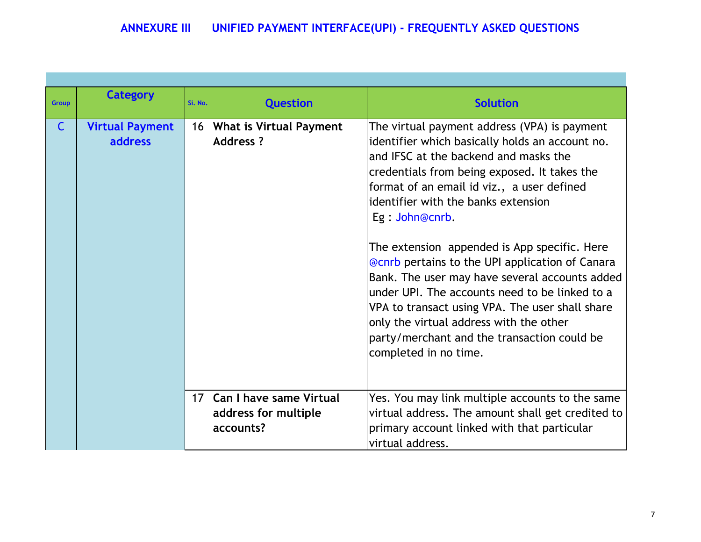| <b>Group</b> | <b>Category</b>        | Si. No. | <b>Question</b>                | <b>Solution</b>                                                                        |
|--------------|------------------------|---------|--------------------------------|----------------------------------------------------------------------------------------|
|              |                        |         |                                |                                                                                        |
| $\mathsf{C}$ | <b>Virtual Payment</b> | 16      | <b>What is Virtual Payment</b> | The virtual payment address (VPA) is payment                                           |
|              | <b>address</b>         |         | <b>Address?</b>                | identifier which basically holds an account no.                                        |
|              |                        |         |                                | and IFSC at the backend and masks the                                                  |
|              |                        |         |                                | credentials from being exposed. It takes the                                           |
|              |                        |         |                                | format of an email id viz., a user defined                                             |
|              |                        |         |                                | identifier with the banks extension                                                    |
|              |                        |         |                                | Eg: John@cnrb.                                                                         |
|              |                        |         |                                |                                                                                        |
|              |                        |         |                                | The extension appended is App specific. Here                                           |
|              |                        |         |                                | <b>@cnrb</b> pertains to the UPI application of Canara                                 |
|              |                        |         |                                | Bank. The user may have several accounts added                                         |
|              |                        |         |                                | under UPI. The accounts need to be linked to a                                         |
|              |                        |         |                                | VPA to transact using VPA. The user shall share                                        |
|              |                        |         |                                | only the virtual address with the other<br>party/merchant and the transaction could be |
|              |                        |         |                                | completed in no time.                                                                  |
|              |                        |         |                                |                                                                                        |
|              |                        |         |                                |                                                                                        |
|              |                        |         | 17   Can I have same Virtual   | Yes. You may link multiple accounts to the same                                        |
|              |                        |         | address for multiple           | virtual address. The amount shall get credited to                                      |
|              |                        |         | accounts?                      | primary account linked with that particular                                            |
|              |                        |         |                                | virtual address.                                                                       |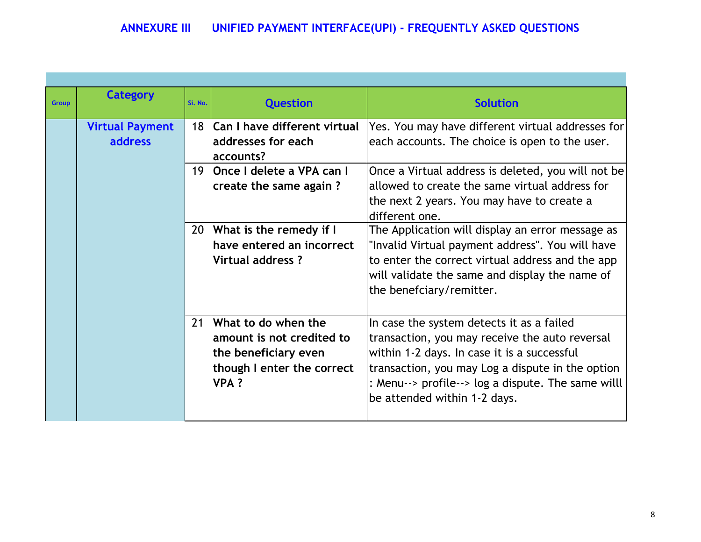| <b>Group</b> | <b>Category</b>        | Si. No. | <b>Question</b>                   | <b>Solution</b>                                    |
|--------------|------------------------|---------|-----------------------------------|----------------------------------------------------|
|              | <b>Virtual Payment</b> |         | 18   Can I have different virtual | Yes. You may have different virtual addresses for  |
|              | <b>address</b>         |         | addresses for each                | each accounts. The choice is open to the user.     |
|              |                        |         | accounts?                         |                                                    |
|              |                        |         | 19 Once I delete a VPA can I      | Once a Virtual address is deleted, you will not be |
|              |                        |         | create the same again?            | allowed to create the same virtual address for     |
|              |                        |         |                                   | the next 2 years. You may have to create a         |
|              |                        |         |                                   | different one.                                     |
|              |                        | 20      | What is the remedy if I           | The Application will display an error message as   |
|              |                        |         | have entered an incorrect         | "Invalid Virtual payment address". You will have   |
|              |                        |         | Virtual address ?                 | to enter the correct virtual address and the app   |
|              |                        |         |                                   | will validate the same and display the name of     |
|              |                        |         |                                   | the benefciary/remitter.                           |
|              |                        |         |                                   |                                                    |
|              |                        | 21      | What to do when the               | In case the system detects it as a failed          |
|              |                        |         | amount is not credited to         | transaction, you may receive the auto reversal     |
|              |                        |         | the beneficiary even              | within 1-2 days. In case it is a successful        |
|              |                        |         | though I enter the correct        | transaction, you may Log a dispute in the option   |
|              |                        |         | <b>VPA?</b>                       | : Menu--> profile--> log a dispute. The same willl |
|              |                        |         |                                   | be attended within 1-2 days.                       |
|              |                        |         |                                   |                                                    |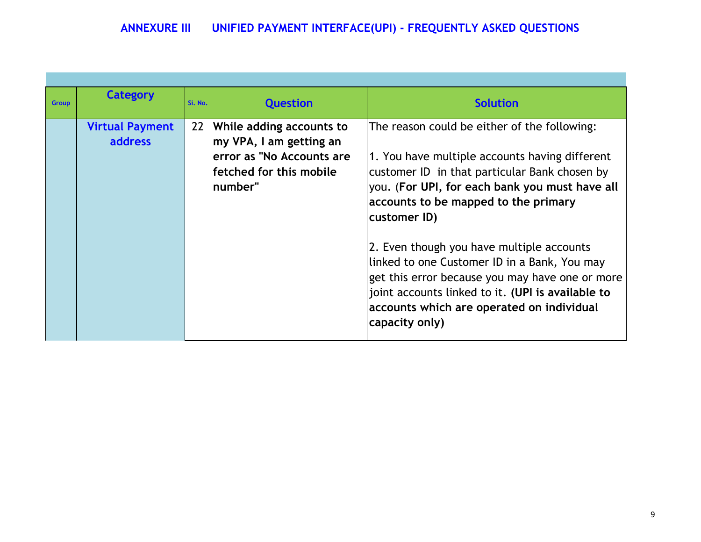| <b>Group</b> | <b>Category</b>                          | Si. No. | <b>Question</b>                                                                                                        | <b>Solution</b>                                                                                                                                                                                                                                                                                                                                                                                                                                                                                                               |
|--------------|------------------------------------------|---------|------------------------------------------------------------------------------------------------------------------------|-------------------------------------------------------------------------------------------------------------------------------------------------------------------------------------------------------------------------------------------------------------------------------------------------------------------------------------------------------------------------------------------------------------------------------------------------------------------------------------------------------------------------------|
|              | <b>Virtual Payment</b><br><b>address</b> | 22      | While adding accounts to<br>my VPA, I am getting an<br>error as "No Accounts are<br>fetched for this mobile<br>number" | The reason could be either of the following:<br>1. You have multiple accounts having different<br>customer ID in that particular Bank chosen by<br>you. (For UPI, for each bank you must have all<br>accounts to be mapped to the primary<br>customer ID)<br>2. Even though you have multiple accounts<br>linked to one Customer ID in a Bank, You may<br>get this error because you may have one or more<br>joint accounts linked to it. (UPI is available to<br>accounts which are operated on individual<br>capacity only) |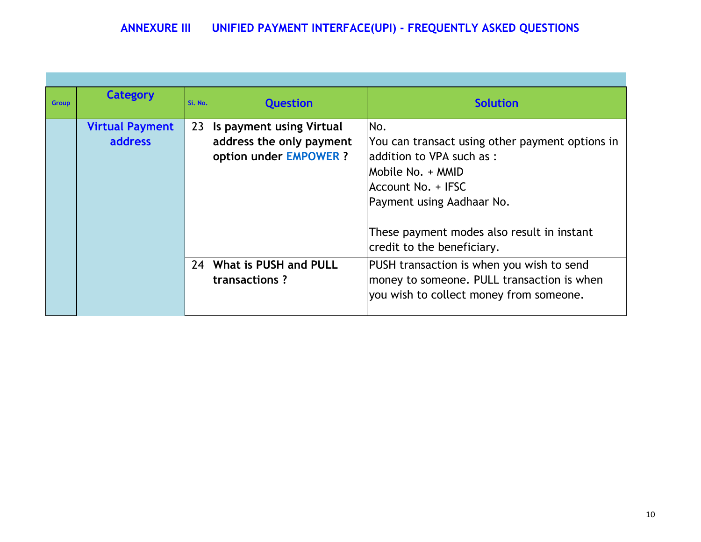| <b>Group</b> | <b>Category</b>                          | Si. No. | <b>Question</b>                                                                | <b>Solution</b>                                                                                                                                                                                                                         |
|--------------|------------------------------------------|---------|--------------------------------------------------------------------------------|-----------------------------------------------------------------------------------------------------------------------------------------------------------------------------------------------------------------------------------------|
|              | <b>Virtual Payment</b><br><b>address</b> | 23      | Is payment using Virtual<br>address the only payment<br>option under EMPOWER ? | No.<br>You can transact using other payment options in<br>laddition to VPA such as:<br>Mobile No. + MMID<br>Account No. + IFSC<br>Payment using Aadhaar No.<br>These payment modes also result in instant<br>credit to the beneficiary. |
|              |                                          | 24      | What is PUSH and PULL<br>transactions?                                         | PUSH transaction is when you wish to send<br>money to someone. PULL transaction is when<br>you wish to collect money from someone.                                                                                                      |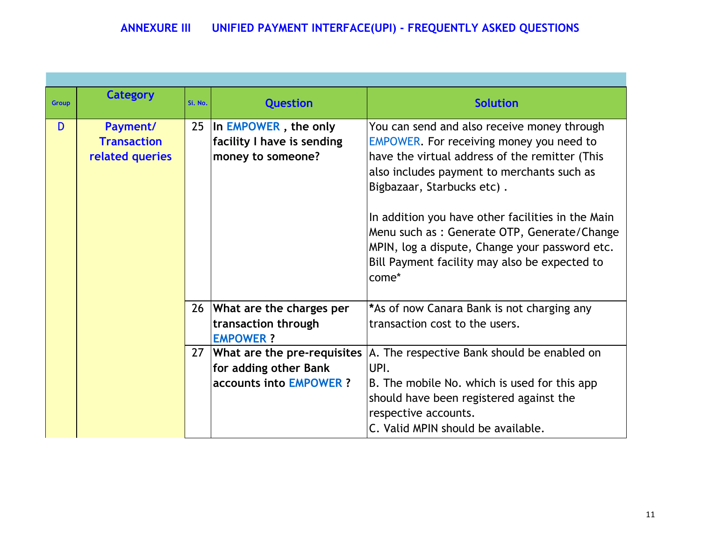| <b>Group</b> | <b>Category</b>    | Si. No. | <b>Question</b>                | <b>Solution</b>                                   |
|--------------|--------------------|---------|--------------------------------|---------------------------------------------------|
|              |                    |         |                                |                                                   |
| D            | Payment/           |         | 25 In EMPOWER, the only        | You can send and also receive money through       |
|              | <b>Transaction</b> |         | facility I have is sending     | EMPOWER. For receiving money you need to          |
|              | related queries    |         | money to someone?              | have the virtual address of the remitter (This    |
|              |                    |         |                                | also includes payment to merchants such as        |
|              |                    |         |                                | Bigbazaar, Starbucks etc).                        |
|              |                    |         |                                |                                                   |
|              |                    |         |                                | In addition you have other facilities in the Main |
|              |                    |         |                                | Menu such as : Generate OTP, Generate/Change      |
|              |                    |         |                                | MPIN, log a dispute, Change your password etc.    |
|              |                    |         |                                | Bill Payment facility may also be expected to     |
|              |                    |         |                                | come*                                             |
|              |                    |         |                                |                                                   |
|              |                    |         | 26 What are the charges per    | *As of now Canara Bank is not charging any        |
|              |                    |         | transaction through            | transaction cost to the users.                    |
|              |                    |         | <b>EMPOWER?</b>                |                                                   |
|              |                    |         | 27 What are the pre-requisites | A. The respective Bank should be enabled on       |
|              |                    |         | for adding other Bank          | UPI.                                              |
|              |                    |         | <b>accounts into EMPOWER?</b>  | B. The mobile No. which is used for this app      |
|              |                    |         |                                | should have been registered against the           |
|              |                    |         |                                | respective accounts.                              |
|              |                    |         |                                | C. Valid MPIN should be available.                |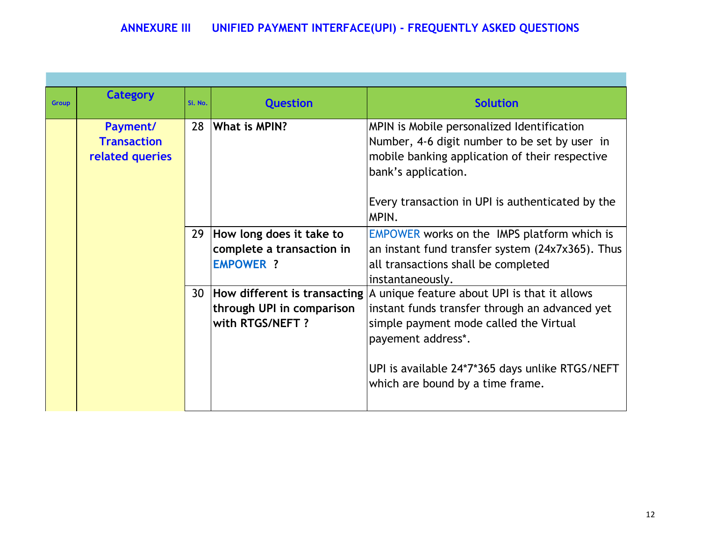| <b>Group</b> | <b>Category</b>                                   | Si. No. | <b>Question</b>                                                              | <b>Solution</b>                                                                                                                                                                                                                                                                           |
|--------------|---------------------------------------------------|---------|------------------------------------------------------------------------------|-------------------------------------------------------------------------------------------------------------------------------------------------------------------------------------------------------------------------------------------------------------------------------------------|
|              | Payment/<br><b>Transaction</b><br>related queries | 28      | What is MPIN?                                                                | MPIN is Mobile personalized Identification<br>Number, 4-6 digit number to be set by user in<br>mobile banking application of their respective<br>bank's application.<br>Every transaction in UPI is authenticated by the<br>MPIN.                                                         |
|              |                                                   |         | 29 How long does it take to<br>complete a transaction in<br><b>EMPOWER ?</b> | <b>EMPOWER works on the IMPS platform which is</b><br>an instant fund transfer system (24x7x365). Thus<br>all transactions shall be completed<br>instantaneously.                                                                                                                         |
|              |                                                   |         | through UPI in comparison<br>with RTGS/NEFT ?                                | 30   How different is transacting   A unique feature about UPI is that it allows<br>instant funds transfer through an advanced yet<br>simple payment mode called the Virtual<br>payement address*.<br>UPI is available 24*7*365 days unlike RTGS/NEFT<br>which are bound by a time frame. |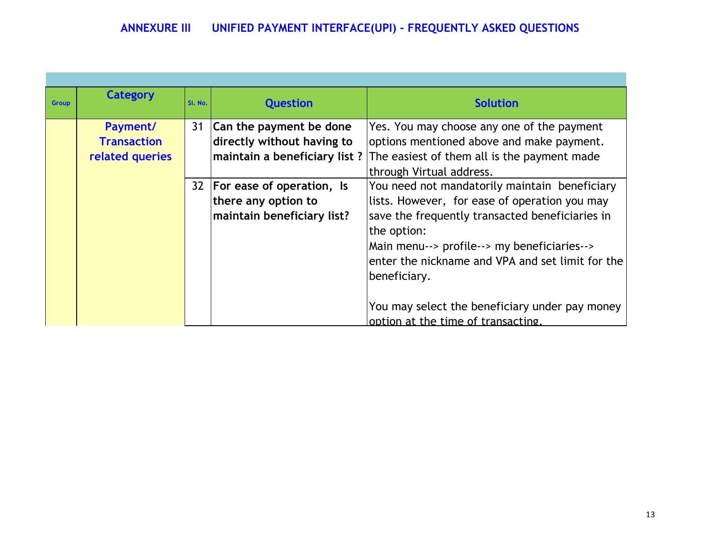| <b>Group</b> | <b>Category</b>    | Si. No. | <b>Question</b>                | <b>Solution</b>                                  |
|--------------|--------------------|---------|--------------------------------|--------------------------------------------------|
|              |                    |         |                                |                                                  |
|              | Payment/           | 31      | Can the payment be done        | Yes. You may choose any one of the payment       |
|              | <b>Transaction</b> |         | directly without having to     | options mentioned above and make payment.        |
|              | related queries    |         | maintain a beneficiary list?   | The easiest of them all is the payment made      |
|              |                    |         |                                | through Virtual address.                         |
|              |                    |         | 32   For ease of operation, Is | You need not mandatorily maintain beneficiary    |
|              |                    |         | there any option to            | lists. However, for ease of operation you may    |
|              |                    |         | maintain beneficiary list?     | save the frequently transacted beneficiaries in  |
|              |                    |         |                                | the option:                                      |
|              |                    |         |                                | Main menu--> profile--> my beneficiaries-->      |
|              |                    |         |                                | enter the nickname and VPA and set limit for the |
|              |                    |         |                                | beneficiary.                                     |
|              |                    |         |                                |                                                  |
|              |                    |         |                                | You may select the beneficiary under pay money   |
|              |                    |         |                                | option at the time of transacting.               |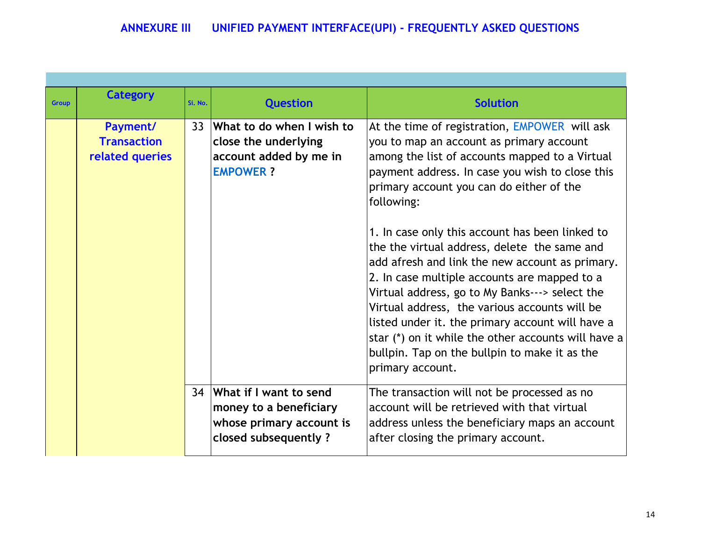| <b>Group</b> | <b>Category</b>                                   | Si. No. | <b>Question</b>                                                                                         | <b>Solution</b>                                                                                                                                                                                                                                                                                                                                                                                                                                                                                                                                                                                                                                                                                                                                   |
|--------------|---------------------------------------------------|---------|---------------------------------------------------------------------------------------------------------|---------------------------------------------------------------------------------------------------------------------------------------------------------------------------------------------------------------------------------------------------------------------------------------------------------------------------------------------------------------------------------------------------------------------------------------------------------------------------------------------------------------------------------------------------------------------------------------------------------------------------------------------------------------------------------------------------------------------------------------------------|
|              | Payment/<br><b>Transaction</b><br>related queries | 33      | What to do when I wish to<br>close the underlying<br>account added by me in<br><b>EMPOWER?</b>          | At the time of registration, EMPOWER will ask<br>you to map an account as primary account<br>among the list of accounts mapped to a Virtual<br>payment address. In case you wish to close this<br>primary account you can do either of the<br>following:<br>1. In case only this account has been linked to<br>the the virtual address, delete the same and<br>add afresh and link the new account as primary.<br>2. In case multiple accounts are mapped to a<br>Virtual address, go to My Banks---> select the<br>Virtual address, the various accounts will be<br>listed under it. the primary account will have a<br>star (*) on it while the other accounts will have a<br>bullpin. Tap on the bullpin to make it as the<br>primary account. |
|              |                                                   |         | 34 What if I want to send<br>money to a beneficiary<br>whose primary account is<br>closed subsequently? | The transaction will not be processed as no<br>account will be retrieved with that virtual<br>address unless the beneficiary maps an account<br>after closing the primary account.                                                                                                                                                                                                                                                                                                                                                                                                                                                                                                                                                                |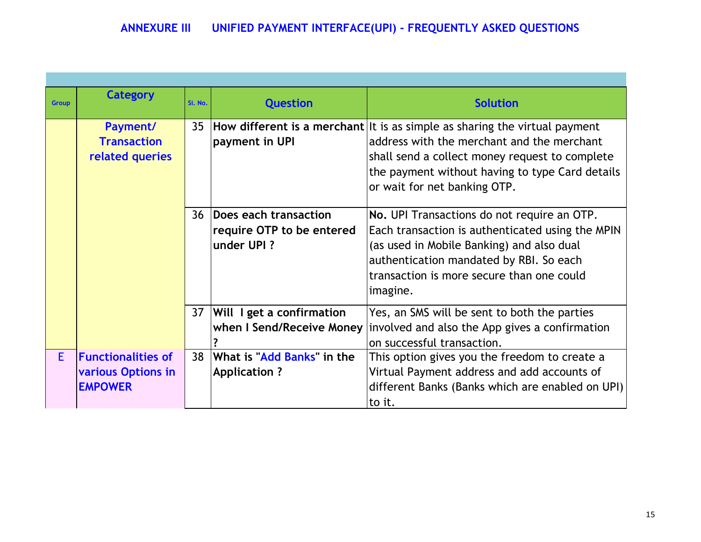| <b>Group</b> | <b>Category</b>                                                   | Si. No. | <b>Question</b>                                                   | <b>Solution</b>                                                                                                                                                                                                                                                   |
|--------------|-------------------------------------------------------------------|---------|-------------------------------------------------------------------|-------------------------------------------------------------------------------------------------------------------------------------------------------------------------------------------------------------------------------------------------------------------|
|              | Payment/<br><b>Transaction</b><br>related queries                 |         | payment in UPI                                                    | 35  How different is a merchant It is as simple as sharing the virtual payment<br>address with the merchant and the merchant<br>shall send a collect money request to complete<br>the payment without having to type Card details<br>or wait for net banking OTP. |
|              |                                                                   | 36      | Does each transaction<br>require OTP to be entered<br>under UPI ? | No. UPI Transactions do not require an OTP.<br>Each transaction is authenticated using the MPIN<br>(as used in Mobile Banking) and also dual<br>authentication mandated by RBI. So each<br>transaction is more secure than one could<br>imagine.                  |
|              |                                                                   |         | 37   Will I get a confirmation<br>when I Send/Receive Money       | Yes, an SMS will be sent to both the parties<br>involved and also the App gives a confirmation<br>on successful transaction.                                                                                                                                      |
| E.           | <b>Functionalities of</b><br>various Options in<br><b>EMPOWER</b> | 38      | What is "Add Banks" in the<br><b>Application ?</b>                | This option gives you the freedom to create a<br>Virtual Payment address and add accounts of<br>different Banks (Banks which are enabled on UPI)<br>to it.                                                                                                        |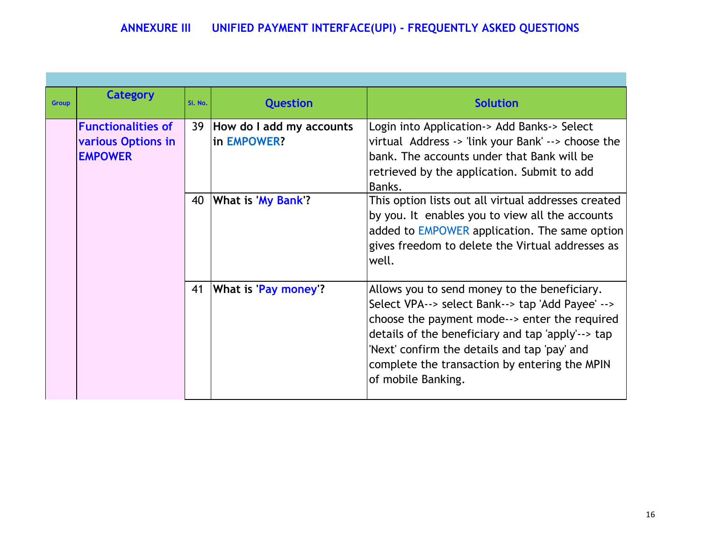E

| <b>Group</b> | <b>Category</b>                                                          | Si. No. | <b>Question</b>                            | <b>Solution</b>                                                                                                                                                                                                                                                                                                               |  |  |
|--------------|--------------------------------------------------------------------------|---------|--------------------------------------------|-------------------------------------------------------------------------------------------------------------------------------------------------------------------------------------------------------------------------------------------------------------------------------------------------------------------------------|--|--|
|              | <b>Functionalities of</b><br><b>various Options in</b><br><b>EMPOWER</b> |         | 39 How do I add my accounts<br>in EMPOWER? | Login into Application-> Add Banks-> Select<br>virtual Address -> 'link your Bank' --> choose the<br>bank. The accounts under that Bank will be<br>retrieved by the application. Submit to add<br>Banks.                                                                                                                      |  |  |
|              |                                                                          | 40      | What is My Bank?                           | This option lists out all virtual addresses created<br>by you. It enables you to view all the accounts<br>added to EMPOWER application. The same option<br>gives freedom to delete the Virtual addresses as<br>well.                                                                                                          |  |  |
|              |                                                                          | 41      | What is 'Pay money'?                       | Allows you to send money to the beneficiary.<br>Select VPA--> select Bank--> tap 'Add Payee' --><br>choose the payment mode--> enter the required<br>details of the beneficiary and tap 'apply'--> tap<br>'Next' confirm the details and tap 'pay' and<br>complete the transaction by entering the MPIN<br>of mobile Banking. |  |  |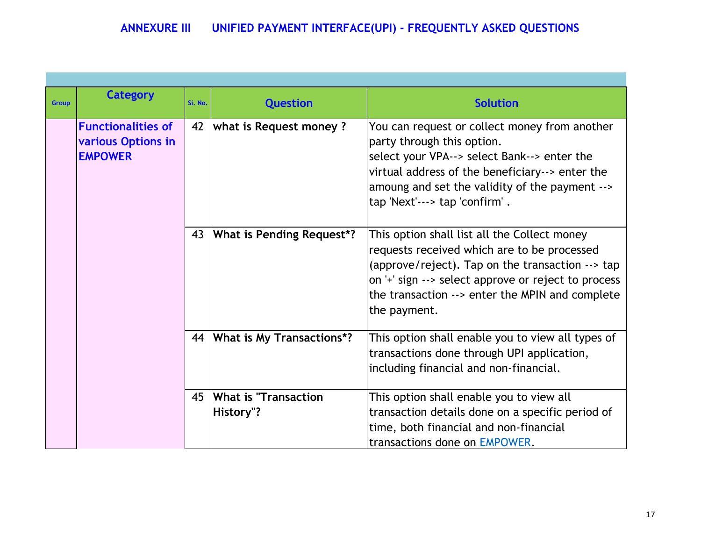| <b>Group</b> | <b>Category</b>                                                   | Si. No.  | <b>Question</b>                          | <b>Solution</b>                                                                                                                                                                                                                                                           |  |  |
|--------------|-------------------------------------------------------------------|----------|------------------------------------------|---------------------------------------------------------------------------------------------------------------------------------------------------------------------------------------------------------------------------------------------------------------------------|--|--|
|              | <b>Functionalities of</b><br>various Options in<br><b>EMPOWER</b> | 42       | <b>what is Request money?</b>            | You can request or collect money from another<br>party through this option.<br>select your VPA--> select Bank--> enter the<br>virtual address of the beneficiary--> enter the<br>amoung and set the validity of the payment --><br>tap 'Next'---> tap 'confirm'.          |  |  |
|              |                                                                   | 43<br>44 | What is Pending Request*?                | This option shall list all the Collect money<br>requests received which are to be processed<br>(approve/reject). Tap on the transaction --> tap<br>on '+' sign --> select approve or reject to process<br>the transaction --> enter the MPIN and complete<br>the payment. |  |  |
|              |                                                                   |          | What is My Transactions*?                | This option shall enable you to view all types of<br>transactions done through UPI application,<br>including financial and non-financial.                                                                                                                                 |  |  |
|              |                                                                   | 45       | <b>What is "Transaction</b><br>History"? | This option shall enable you to view all<br>transaction details done on a specific period of<br>time, both financial and non-financial<br>transactions done on EMPOWER.                                                                                                   |  |  |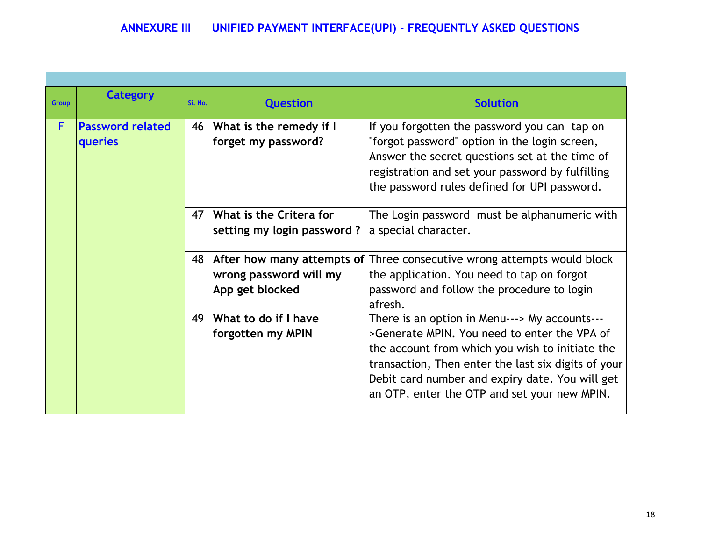| <b>Group</b> | Category                           | Si. No. | <b>Question</b>                                       | <b>Solution</b>                                                                                                                                                                                                                                                                                            |  |  |
|--------------|------------------------------------|---------|-------------------------------------------------------|------------------------------------------------------------------------------------------------------------------------------------------------------------------------------------------------------------------------------------------------------------------------------------------------------------|--|--|
| F            | <b>Password related</b><br>queries | 46      | What is the remedy if I<br>forget my password?        | If you forgotten the password you can tap on<br>"forgot password" option in the login screen,<br>Answer the secret questions set at the time of<br>registration and set your password by fulfilling<br>the password rules defined for UPI password.                                                        |  |  |
|              |                                    | 47      | What is the Critera for<br>setting my login password? | The Login password must be alphanumeric with<br>a special character.                                                                                                                                                                                                                                       |  |  |
|              |                                    | 48      | wrong password will my<br>App get blocked             | After how many attempts of Three consecutive wrong attempts would block<br>the application. You need to tap on forgot<br>password and follow the procedure to login<br>afresh.                                                                                                                             |  |  |
|              |                                    | 49      | What to do if I have<br>forgotten my MPIN             | There is an option in Menu---> My accounts---<br>>Generate MPIN. You need to enter the VPA of<br>the account from which you wish to initiate the<br>transaction, Then enter the last six digits of your<br>Debit card number and expiry date. You will get<br>an OTP, enter the OTP and set your new MPIN. |  |  |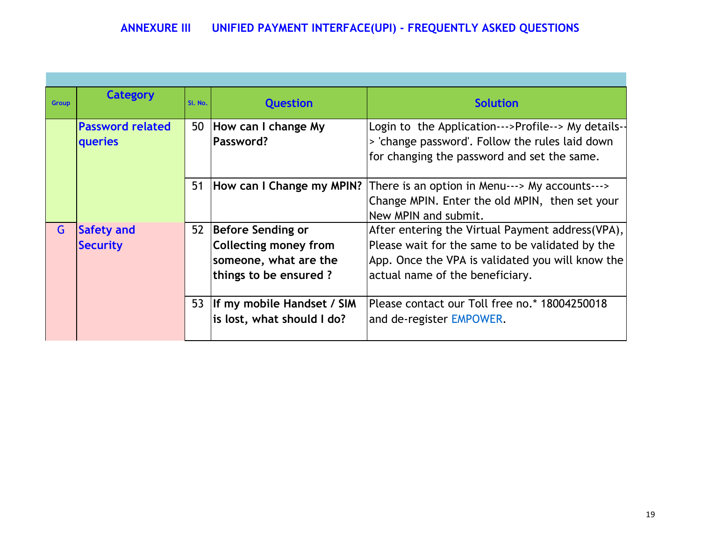| <b>Group</b> | <b>Category</b>         | Si. No. | <b>Question</b>              | <b>Solution</b>                                    |  |  |
|--------------|-------------------------|---------|------------------------------|----------------------------------------------------|--|--|
|              | <b>Password related</b> | 50      | How can I change My          | Login to the Application--->Profile--> My details- |  |  |
|              | <b>queries</b>          |         | Password?                    | > 'change password'. Follow the rules laid down    |  |  |
|              |                         |         |                              | for changing the password and set the same.        |  |  |
|              |                         |         |                              |                                                    |  |  |
|              |                         | 51      | How can I Change my MPIN?    | There is an option in Menu---> My accounts--->     |  |  |
|              |                         |         |                              | Change MPIN. Enter the old MPIN, then set your     |  |  |
|              |                         |         |                              | New MPIN and submit.                               |  |  |
| G            | Safety and              | 52      | Before Sending or            | After entering the Virtual Payment address(VPA),   |  |  |
|              | <b>Security</b>         |         | <b>Collecting money from</b> | Please wait for the same to be validated by the    |  |  |
|              |                         |         | someone, what are the        | App. Once the VPA is validated you will know the   |  |  |
|              |                         |         | things to be ensured?        | actual name of the beneficiary.                    |  |  |
|              |                         |         |                              |                                                    |  |  |
|              |                         | 53      | If my mobile Handset / SIM   | Please contact our Toll free no.* 18004250018      |  |  |
|              |                         |         | is lost, what should I do?   | and de-register EMPOWER.                           |  |  |
|              |                         |         |                              |                                                    |  |  |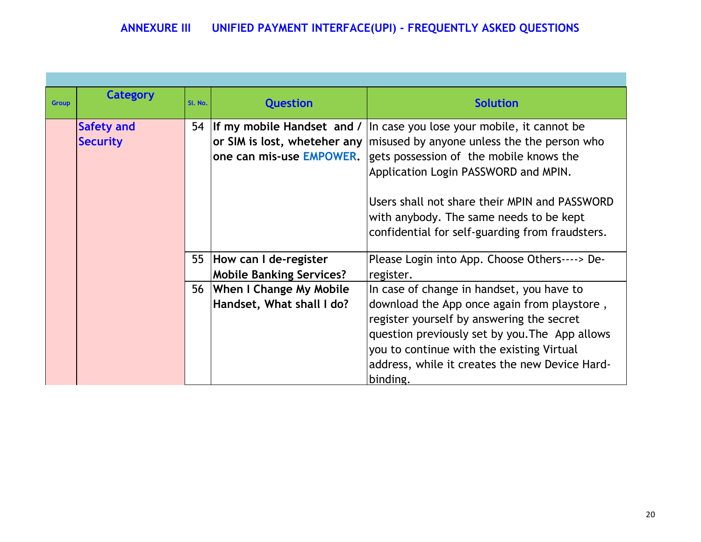| <b>Group</b> | <b>Category</b>                      | Si. No. | <b>Question</b>                                             | <b>Solution</b>                                                                                                                                                                                                                                                                                                                                          |  |  |
|--------------|--------------------------------------|---------|-------------------------------------------------------------|----------------------------------------------------------------------------------------------------------------------------------------------------------------------------------------------------------------------------------------------------------------------------------------------------------------------------------------------------------|--|--|
|              | <b>Safety and</b><br><b>Security</b> | 54      | If my mobile Handset and /<br>one can mis-use EMPOWER.      | In case you lose your mobile, it cannot be<br>or SIM is lost, wheteher any misused by anyone unless the the person who<br>gets possession of the mobile knows the<br>Application Login PASSWORD and MPIN.<br>Users shall not share their MPIN and PASSWORD<br>with anybody. The same needs to be kept<br>confidential for self-guarding from fraudsters. |  |  |
|              |                                      | 55      | How can I de-register<br><b>Mobile Banking Services?</b>    | Please Login into App. Choose Others----> De-<br>register.                                                                                                                                                                                                                                                                                               |  |  |
|              |                                      | 56      | <b>When I Change My Mobile</b><br>Handset, What shall I do? | In case of change in handset, you have to<br>download the App once again from playstore,<br>register yourself by answering the secret<br>question previously set by you. The App allows<br>you to continue with the existing Virtual<br>address, while it creates the new Device Hard-<br>binding.                                                       |  |  |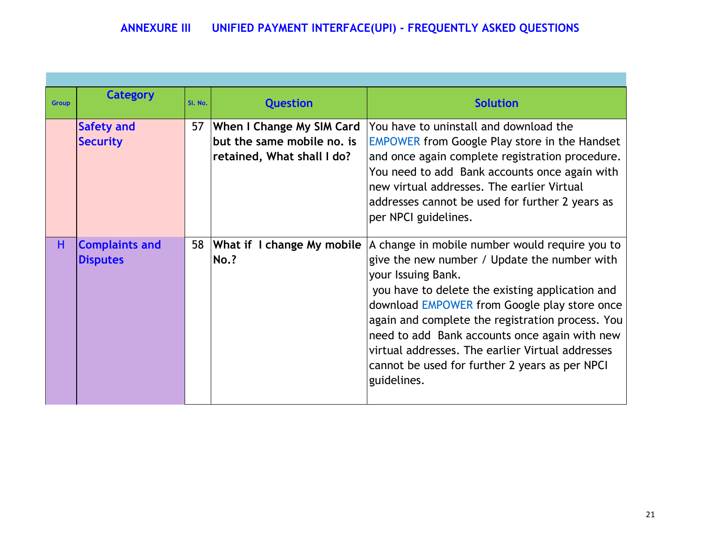| <b>Group</b> | <b>Category</b>                          | Si. No. | <b>Question</b>                                                                              | <b>Solution</b>                                                                                                                                                                                                                                                                                                                                                                                                                                   |  |  |  |
|--------------|------------------------------------------|---------|----------------------------------------------------------------------------------------------|---------------------------------------------------------------------------------------------------------------------------------------------------------------------------------------------------------------------------------------------------------------------------------------------------------------------------------------------------------------------------------------------------------------------------------------------------|--|--|--|
|              | <b>Safety and</b><br><b>Security</b>     | 57      | <b>When I Change My SIM Card</b><br>but the same mobile no, is<br>retained, What shall I do? | You have to uninstall and download the<br><b>EMPOWER from Google Play store in the Handset</b><br>and once again complete registration procedure.<br>You need to add Bank accounts once again with<br>new virtual addresses. The earlier Virtual<br>addresses cannot be used for further 2 years as<br>per NPCI guidelines.                                                                                                                       |  |  |  |
| н            | <b>Complaints and</b><br><b>Disputes</b> | 58      | What if I change My mobile<br><b>No.?</b>                                                    | A change in mobile number would require you to<br>give the new number / Update the number with<br>your Issuing Bank.<br>you have to delete the existing application and<br>download EMPOWER from Google play store once<br>again and complete the registration process. You<br>need to add Bank accounts once again with new<br>virtual addresses. The earlier Virtual addresses<br>cannot be used for further 2 years as per NPCI<br>guidelines. |  |  |  |